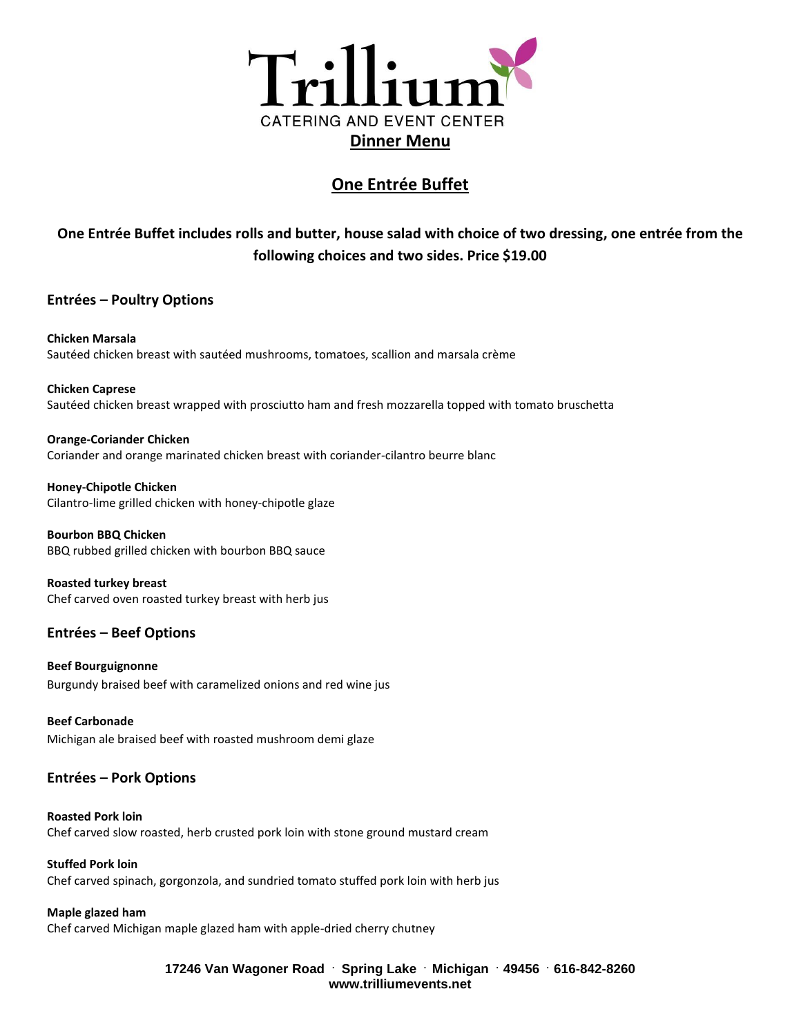

## **One Entrée Buffet**

# **One Entrée Buffet includes rolls and butter, house salad with choice of two dressing, one entrée from the following choices and two sides. Price \$19.00**

### **Entrées – Poultry Options**

**Chicken Marsala** Sautéed chicken breast with sautéed mushrooms, tomatoes, scallion and marsala crème

**Chicken Caprese** Sautéed chicken breast wrapped with prosciutto ham and fresh mozzarella topped with tomato bruschetta

**Orange-Coriander Chicken** Coriander and orange marinated chicken breast with coriander-cilantro beurre blanc

**Honey-Chipotle Chicken** Cilantro-lime grilled chicken with honey-chipotle glaze

**Bourbon BBQ Chicken** BBQ rubbed grilled chicken with bourbon BBQ sauce

**Roasted turkey breast** Chef carved oven roasted turkey breast with herb jus

## **Entrées – Beef Options**

**Beef Bourguignonne** Burgundy braised beef with caramelized onions and red wine jus

**Beef Carbonade** Michigan ale braised beef with roasted mushroom demi glaze

### **Entrées – Pork Options**

**Roasted Pork loin** Chef carved slow roasted, herb crusted pork loin with stone ground mustard cream

**Stuffed Pork loin** Chef carved spinach, gorgonzola, and sundried tomato stuffed pork loin with herb jus

**Maple glazed ham** Chef carved Michigan maple glazed ham with apple-dried cherry chutney

> **17246 Van Wagoner Road . Spring Lake . Michigan . 49456 . 616-842-8260 www.trilliumevents.net**